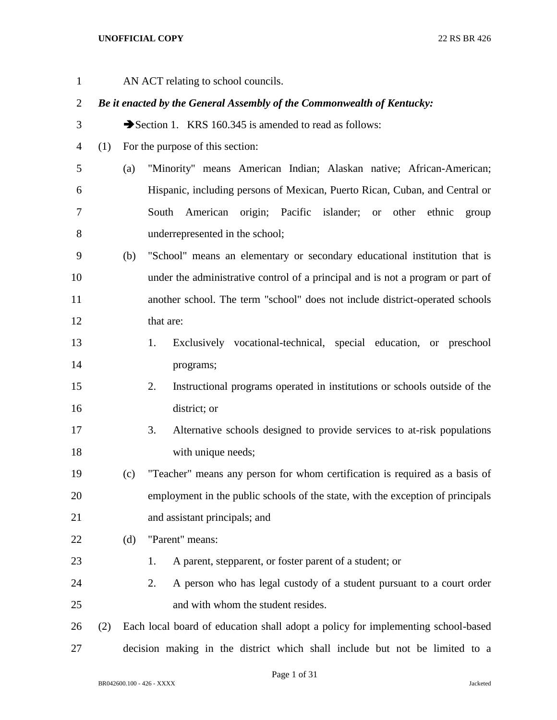| $\mathbf{1}$   |     |     | AN ACT relating to school councils.                                              |
|----------------|-----|-----|----------------------------------------------------------------------------------|
| $\overline{2}$ |     |     | Be it enacted by the General Assembly of the Commonwealth of Kentucky:           |
| 3              |     |     | Section 1. KRS 160.345 is amended to read as follows:                            |
| 4              | (1) |     | For the purpose of this section:                                                 |
| 5              |     | (a) | "Minority" means American Indian; Alaskan native; African-American;              |
| 6              |     |     | Hispanic, including persons of Mexican, Puerto Rican, Cuban, and Central or      |
| 7              |     |     | American origin; Pacific<br>islander; or<br>other<br>South<br>ethnic<br>group    |
| 8              |     |     | underrepresented in the school;                                                  |
| 9              |     | (b) | "School" means an elementary or secondary educational institution that is        |
| 10             |     |     | under the administrative control of a principal and is not a program or part of  |
| 11             |     |     | another school. The term "school" does not include district-operated schools     |
| 12             |     |     | that are:                                                                        |
| 13             |     |     | Exclusively vocational-technical, special education, or preschool<br>1.          |
| 14             |     |     | programs;                                                                        |
| 15             |     |     | Instructional programs operated in institutions or schools outside of the<br>2.  |
| 16             |     |     | district; or                                                                     |
| 17             |     |     | 3.<br>Alternative schools designed to provide services to at-risk populations    |
| 18             |     |     | with unique needs;                                                               |
| 19             |     | (c) | "Teacher" means any person for whom certification is required as a basis of      |
| 20             |     |     | employment in the public schools of the state, with the exception of principals  |
| 21             |     |     | and assistant principals; and                                                    |
| 22             |     | (d) | "Parent" means:                                                                  |
| 23             |     |     | A parent, stepparent, or foster parent of a student; or<br>1.                    |
| 24             |     |     | A person who has legal custody of a student pursuant to a court order<br>2.      |
| 25             |     |     | and with whom the student resides.                                               |
| 26             | (2) |     | Each local board of education shall adopt a policy for implementing school-based |
| 27             |     |     | decision making in the district which shall include but not be limited to a      |

Page 1 of 31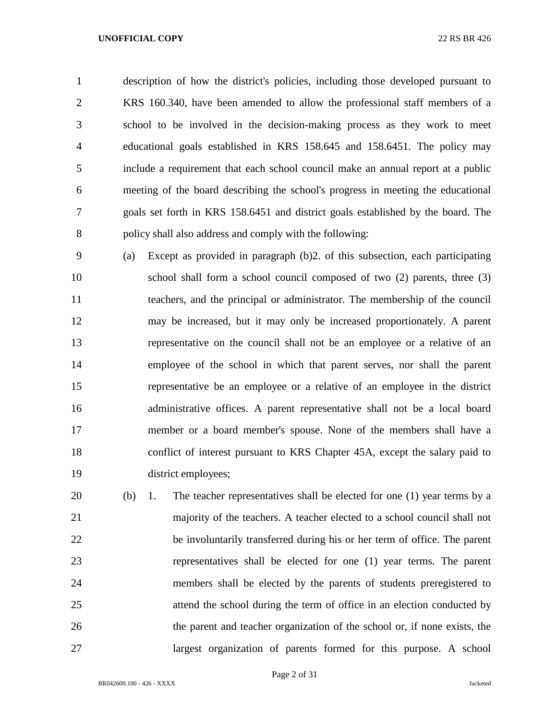description of how the district's policies, including those developed pursuant to KRS 160.340, have been amended to allow the professional staff members of a school to be involved in the decision-making process as they work to meet educational goals established in KRS 158.645 and 158.6451. The policy may include a requirement that each school council make an annual report at a public meeting of the board describing the school's progress in meeting the educational goals set forth in KRS 158.6451 and district goals established by the board. The policy shall also address and comply with the following:

 (a) Except as provided in paragraph (b)2. of this subsection, each participating school shall form a school council composed of two (2) parents, three (3) teachers, and the principal or administrator. The membership of the council may be increased, but it may only be increased proportionately. A parent representative on the council shall not be an employee or a relative of an employee of the school in which that parent serves, nor shall the parent representative be an employee or a relative of an employee in the district administrative offices. A parent representative shall not be a local board member or a board member's spouse. None of the members shall have a conflict of interest pursuant to KRS Chapter 45A, except the salary paid to district employees;

 (b) 1. The teacher representatives shall be elected for one (1) year terms by a majority of the teachers. A teacher elected to a school council shall not be involuntarily transferred during his or her term of office. The parent representatives shall be elected for one (1) year terms. The parent members shall be elected by the parents of students preregistered to attend the school during the term of office in an election conducted by the parent and teacher organization of the school or, if none exists, the largest organization of parents formed for this purpose. A school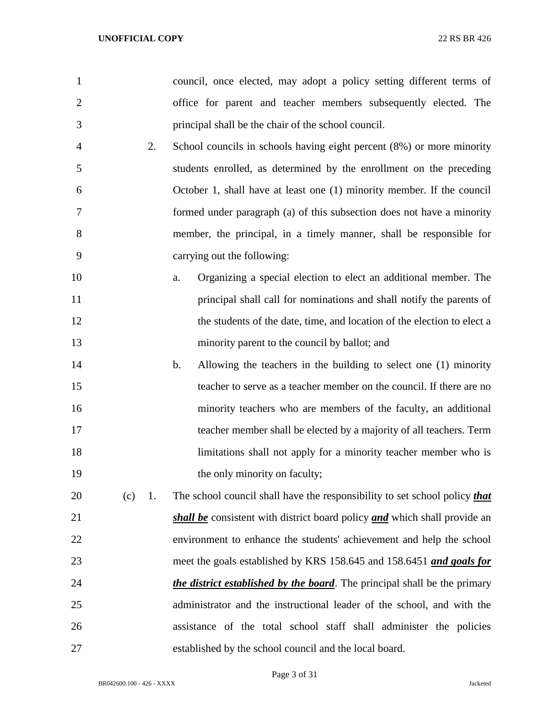council, once elected, may adopt a policy setting different terms of office for parent and teacher members subsequently elected. The principal shall be the chair of the school council.

- 2. School councils in schools having eight percent (8%) or more minority students enrolled, as determined by the enrollment on the preceding October 1, shall have at least one (1) minority member. If the council formed under paragraph (a) of this subsection does not have a minority member, the principal, in a timely manner, shall be responsible for carrying out the following:
- a. Organizing a special election to elect an additional member. The principal shall call for nominations and shall notify the parents of 12 the students of the date, time, and location of the election to elect a minority parent to the council by ballot; and
- b. Allowing the teachers in the building to select one (1) minority teacher to serve as a teacher member on the council. If there are no minority teachers who are members of the faculty, an additional teacher member shall be elected by a majority of all teachers. Term limitations shall not apply for a minority teacher member who is 19 the only minority on faculty;

 (c) 1. The school council shall have the responsibility to set school policy *that shall be* consistent with district board policy *and* which shall provide an environment to enhance the students' achievement and help the school meet the goals established by KRS 158.645 and 158.6451 *and goals for the district established by the board*. The principal shall be the primary administrator and the instructional leader of the school, and with the assistance of the total school staff shall administer the policies established by the school council and the local board.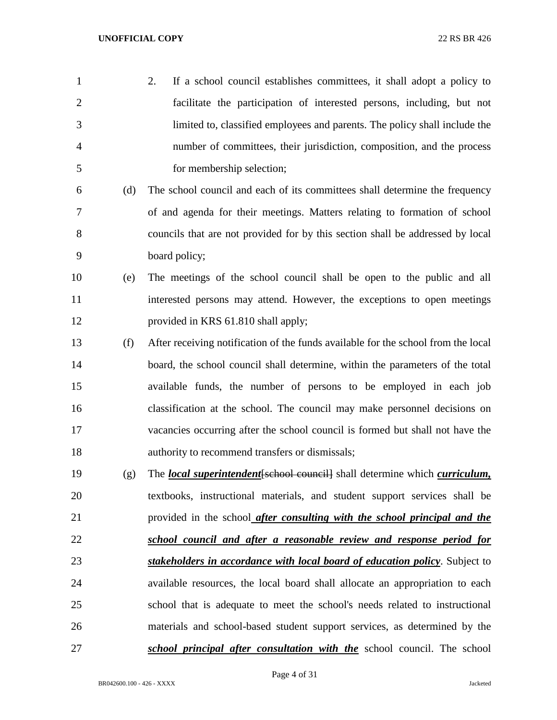| 1              |     | 2.<br>If a school council establishes committees, it shall adopt a policy to               |
|----------------|-----|--------------------------------------------------------------------------------------------|
| $\overline{2}$ |     | facilitate the participation of interested persons, including, but not                     |
| 3              |     | limited to, classified employees and parents. The policy shall include the                 |
| $\overline{4}$ |     | number of committees, their jurisdiction, composition, and the process                     |
| 5              |     | for membership selection;                                                                  |
| 6              | (d) | The school council and each of its committees shall determine the frequency                |
| 7              |     | of and agenda for their meetings. Matters relating to formation of school                  |
| 8              |     | councils that are not provided for by this section shall be addressed by local             |
| 9              |     | board policy;                                                                              |
| 10             | (e) | The meetings of the school council shall be open to the public and all                     |
| 11             |     | interested persons may attend. However, the exceptions to open meetings                    |
| 12             |     | provided in KRS 61.810 shall apply;                                                        |
| 13             | (f) | After receiving notification of the funds available for the school from the local          |
| 14             |     | board, the school council shall determine, within the parameters of the total              |
| 15             |     | available funds, the number of persons to be employed in each job                          |
| 16             |     | classification at the school. The council may make personnel decisions on                  |
| 17             |     | vacancies occurring after the school council is formed but shall not have the              |
| 18             |     | authority to recommend transfers or dismissals;                                            |
| 19             | (g) | The <i>local superintendent</i> [school council] shall determine which <i>curriculum</i> , |
| 20             |     | textbooks, instructional materials, and student support services shall be                  |
| 21             |     | provided in the school after consulting with the school principal and the                  |
| 22             |     | school council and after a reasonable review and response period for                       |
| 23             |     | stakeholders in accordance with local board of education policy. Subject to                |
| 24             |     | available resources, the local board shall allocate an appropriation to each               |
| 25             |     | school that is adequate to meet the school's needs related to instructional                |
| 26             |     | materials and school-based student support services, as determined by the                  |
| 27             |     | school principal after consultation with the school council. The school                    |

Page 4 of 31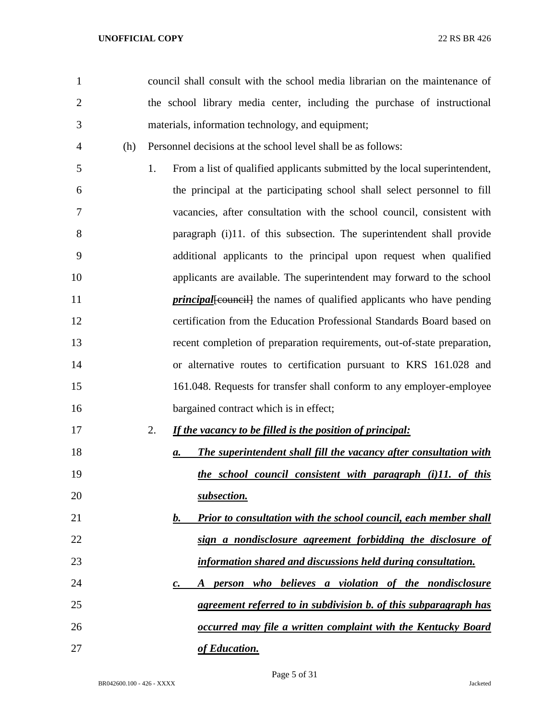council shall consult with the school media librarian on the maintenance of the school library media center, including the purchase of instructional materials, information technology, and equipment;

(h) Personnel decisions at the school level shall be as follows:

 1. From a list of qualified applicants submitted by the local superintendent, the principal at the participating school shall select personnel to fill vacancies, after consultation with the school council, consistent with paragraph (i)11. of this subsection. The superintendent shall provide additional applicants to the principal upon request when qualified applicants are available. The superintendent may forward to the school *principal*[council] the names of qualified applicants who have pending certification from the Education Professional Standards Board based on recent completion of preparation requirements, out-of-state preparation, or alternative routes to certification pursuant to KRS 161.028 and 161.048. Requests for transfer shall conform to any employer-employee 16 bargained contract which is in effect;

# 2. *If the vacancy to be filled is the position of principal:*

- *a. The superintendent shall fill the vacancy after consultation with the school council consistent with paragraph (i)11. of this subsection.*
- *b. Prior to consultation with the school council, each member shall sign a nondisclosure agreement forbidding the disclosure of information shared and discussions held during consultation.*
- *c. A person who believes a violation of the nondisclosure agreement referred to in subdivision b. of this subparagraph has occurred may file a written complaint with the Kentucky Board of Education.*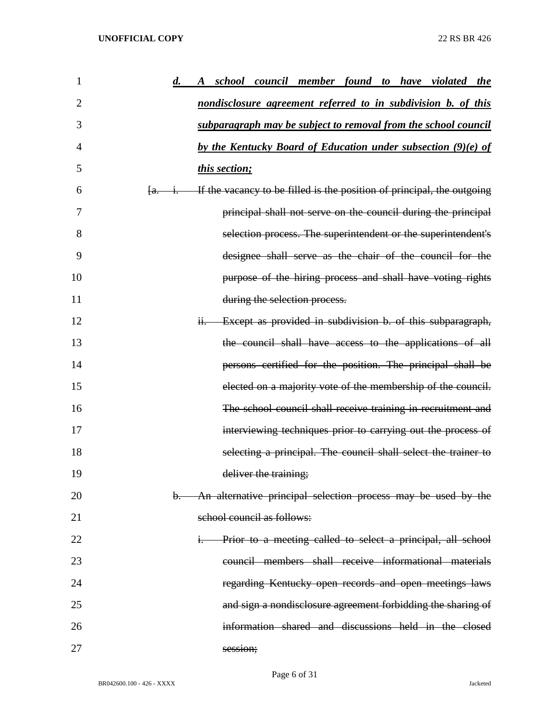| 1<br>$\boldsymbol{d.}$ | school council member found to have violated the<br>$\boldsymbol{A}$   |
|------------------------|------------------------------------------------------------------------|
| $\overline{2}$         | nondisclosure agreement referred to in subdivision b. of this          |
| 3                      | subparagraph may be subject to removal from the school council         |
| 4                      | by the Kentucky Board of Education under subsection (9)(e) of          |
| 5                      | this section;                                                          |
| 6                      | If the vacancy to be filled is the position of principal, the outgoing |
| 7                      | principal shall not serve on the council during the principal          |
| 8                      | selection process. The superintendent or the superintendent's          |
| 9                      | designee shall serve as the chair of the council for the               |
| 10                     | purpose of the hiring process and shall have voting rights             |
| 11                     | during the selection process.                                          |
| 12                     | Except as provided in subdivision b. of this subparagraph,             |
| 13                     | the council shall have access to the applications of all               |
| 14                     | persons certified for the position. The principal shall be             |
| 15                     | elected on a majority vote of the membership of the council.           |
| 16                     | The school council shall receive training in recruitment and           |
| 17                     | interviewing techniques prior to carrying out the process of           |
| 18                     | selecting a principal. The council shall select the trainer to         |
| 19                     | deliver the training;                                                  |
| 20<br>b.               | An alternative principal selection process may be used by the          |
| 21                     | school council as follows:                                             |
| 22                     | Prior to a meeting called to select a principal, all school            |
| 23                     | council members shall receive informational materials                  |
| 24                     | regarding Kentucky open records and open meetings laws                 |
| 25                     | and sign a nondisclosure agreement forbidding the sharing of           |
| 26                     | information shared and discussions held in the closed                  |
| 27                     | session;                                                               |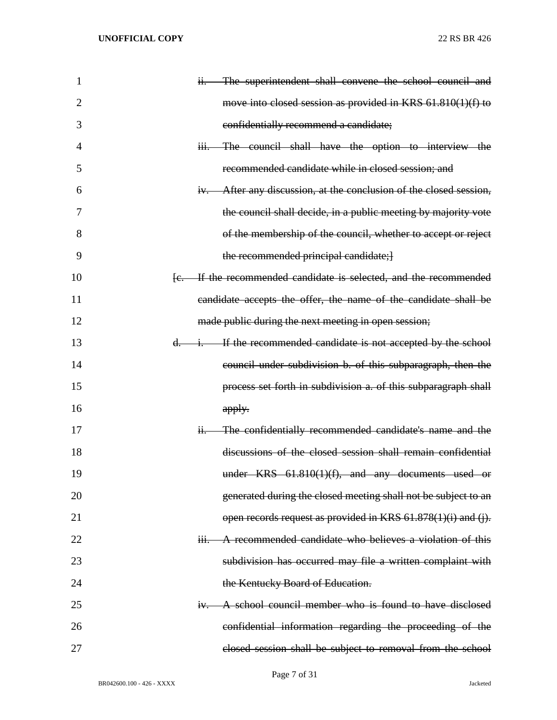| 1              | ii. The superintendent shall convene the school council and                           |
|----------------|---------------------------------------------------------------------------------------|
| $\overline{2}$ | move into closed session as provided in KRS 61.810(1)(f) to                           |
| 3              | confidentially recommend a candidate;                                                 |
| 4              | iii. The council shall have the option to interview the                               |
| 5              | recommended candidate while in closed session; and                                    |
| 6              | iv. After any discussion, at the conclusion of the closed session,                    |
| 7              | the council shall decide, in a public meeting by majority vote                        |
| 8              | of the membership of the council, whether to accept or reject                         |
| 9              | the recommended principal candidate; }                                                |
| 10             | [e. If the recommended candidate is selected, and the recommended                     |
| 11             | candidate accepts the offer, the name of the candidate shall be                       |
| 12             | made public during the next meeting in open session;                                  |
| 13             | d. i. If the recommended candidate is not accepted by the school                      |
| 14             | council under subdivision b. of this subparagraph, then the                           |
| 15             | process set forth in subdivision a. of this subparagraph shall                        |
| 16             | apply.                                                                                |
| 17             | The confidentially recommended candidate's name and the<br>H <sub>1</sub>             |
| 18             | discussions of the closed session shall remain confidential                           |
| 19             | under $KRS$ 61.810(1)(f), and any documents used or                                   |
| 20             | generated during the closed meeting shall not be subject to an                        |
| 21             | open records request as provided in KRS 61.878(1)(i) and (j).                         |
| 22             | A recommended candidate who believes a violation of this<br>$\overline{\mathbf{H}}$ . |
| 23             | subdivision has occurred may file a written complaint with                            |
| 24             | the Kentucky Board of Education.                                                      |
| 25             | A school council member who is found to have disclosed<br>$H +$                       |
| 26             | confidential information regarding the proceeding of the                              |
| 27             | closed session shall be subject to removal from the school                            |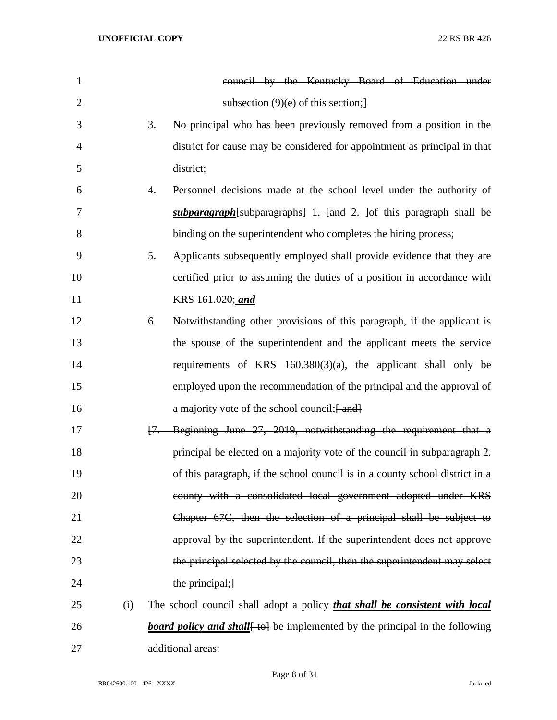| 1              |     | council by the Kentucky Board of Education under                                   |
|----------------|-----|------------------------------------------------------------------------------------|
| $\overline{2}$ |     | subsection $(9)(e)$ of this section;                                               |
| 3              |     | 3.<br>No principal who has been previously removed from a position in the          |
| $\overline{4}$ |     | district for cause may be considered for appointment as principal in that          |
| 5              |     | district;                                                                          |
| 6              |     | 4.<br>Personnel decisions made at the school level under the authority of          |
| 7              |     | <i>subparagraph</i> [subparagraphs] 1. [and 2. ] of this paragraph shall be        |
| 8              |     | binding on the superintendent who completes the hiring process;                    |
| 9              |     | Applicants subsequently employed shall provide evidence that they are<br>5.        |
| 10             |     | certified prior to assuming the duties of a position in accordance with            |
| 11             |     | KRS 161.020; and                                                                   |
| 12             |     | 6.<br>Notwithstanding other provisions of this paragraph, if the applicant is      |
| 13             |     | the spouse of the superintendent and the applicant meets the service               |
| 14             |     | requirements of KRS $160.380(3)(a)$ , the applicant shall only be                  |
| 15             |     | employed upon the recommendation of the principal and the approval of              |
| 16             |     | a majority vote of the school council; [ and]                                      |
| 17             |     | Beginning June 27, 2019, notwithstanding the requirement that a<br>$H -$           |
| 18             |     | principal be elected on a majority vote of the council in subparagraph 2.          |
| 19             |     | of this paragraph, if the school council is in a county school district in a       |
| 20             |     | county with a consolidated local government adopted under KRS                      |
| 21             |     | Chapter 67C, then the selection of a principal shall be subject to                 |
| 22             |     | approval by the superintendent. If the superintendent does not approve             |
| 23             |     | the principal selected by the council, then the superintendent may select          |
| 24             |     | the principal;}                                                                    |
| 25             | (i) | The school council shall adopt a policy <i>that shall be consistent with local</i> |
| 26             |     | <b>board policy and shall</b> to be implemented by the principal in the following  |
| 27             |     | additional areas:                                                                  |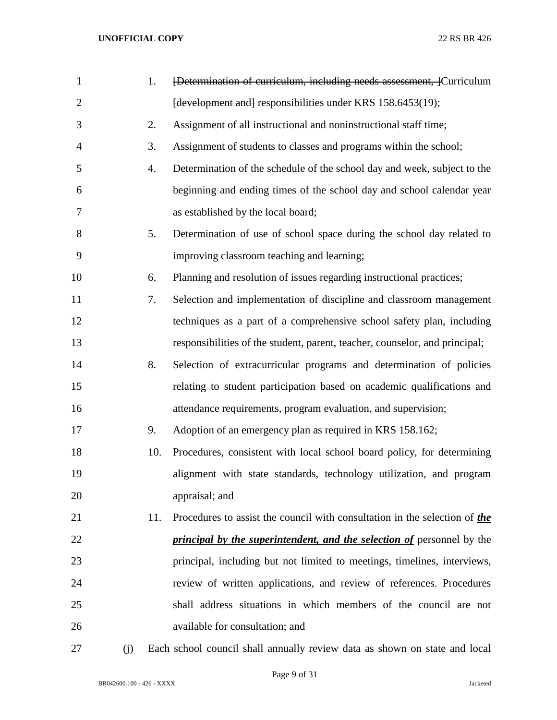| $\mathbf{1}$   |     | 1.  | [Determination of curriculum, including needs assessment, ]Curriculum         |
|----------------|-----|-----|-------------------------------------------------------------------------------|
| $\overline{2}$ |     |     | [development and] responsibilities under KRS 158.6453(19);                    |
| 3              |     | 2.  | Assignment of all instructional and noninstructional staff time;              |
| $\overline{4}$ |     | 3.  | Assignment of students to classes and programs within the school;             |
| 5              |     | 4.  | Determination of the schedule of the school day and week, subject to the      |
| 6              |     |     | beginning and ending times of the school day and school calendar year         |
| 7              |     |     | as established by the local board;                                            |
| 8              |     | 5.  | Determination of use of school space during the school day related to         |
| 9              |     |     | improving classroom teaching and learning;                                    |
| 10             |     | 6.  | Planning and resolution of issues regarding instructional practices;          |
| 11             |     | 7.  | Selection and implementation of discipline and classroom management           |
| 12             |     |     | techniques as a part of a comprehensive school safety plan, including         |
| 13             |     |     | responsibilities of the student, parent, teacher, counselor, and principal;   |
| 14             |     | 8.  | Selection of extracurricular programs and determination of policies           |
| 15             |     |     | relating to student participation based on academic qualifications and        |
| 16             |     |     | attendance requirements, program evaluation, and supervision;                 |
| 17             |     | 9.  | Adoption of an emergency plan as required in KRS 158.162;                     |
| 18             |     | 10. | Procedures, consistent with local school board policy, for determining        |
| 19             |     |     | alignment with state standards, technology utilization, and program           |
| 20             |     |     | appraisal; and                                                                |
| 21             |     | 11. | Procedures to assist the council with consultation in the selection of the    |
| 22             |     |     | <i>principal by the superintendent, and the selection of personnel by the</i> |
| 23             |     |     | principal, including but not limited to meetings, timelines, interviews,      |
| 24             |     |     | review of written applications, and review of references. Procedures          |
| 25             |     |     | shall address situations in which members of the council are not              |
| 26             |     |     | available for consultation; and                                               |
| 27             | (j) |     | Each school council shall annually review data as shown on state and local    |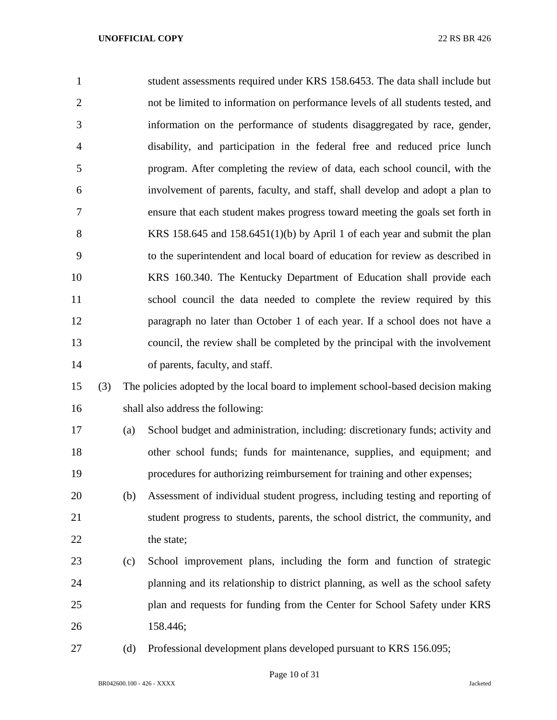| $\mathbf{1}$   |     |     | student assessments required under KRS 158.6453. The data shall include but       |
|----------------|-----|-----|-----------------------------------------------------------------------------------|
| $\overline{2}$ |     |     | not be limited to information on performance levels of all students tested, and   |
| 3              |     |     | information on the performance of students disaggregated by race, gender,         |
| 4              |     |     | disability, and participation in the federal free and reduced price lunch         |
| 5              |     |     | program. After completing the review of data, each school council, with the       |
| 6              |     |     | involvement of parents, faculty, and staff, shall develop and adopt a plan to     |
| 7              |     |     | ensure that each student makes progress toward meeting the goals set forth in     |
| 8              |     |     | KRS 158.645 and 158.6451(1)(b) by April 1 of each year and submit the plan        |
| 9              |     |     | to the superintendent and local board of education for review as described in     |
| 10             |     |     | KRS 160.340. The Kentucky Department of Education shall provide each              |
| 11             |     |     | school council the data needed to complete the review required by this            |
| 12             |     |     | paragraph no later than October 1 of each year. If a school does not have a       |
| 13             |     |     | council, the review shall be completed by the principal with the involvement      |
| 14             |     |     | of parents, faculty, and staff.                                                   |
| 15             | (3) |     | The policies adopted by the local board to implement school-based decision making |
| 16             |     |     | shall also address the following:                                                 |
| 17             |     | (a) | School budget and administration, including: discretionary funds; activity and    |
| 18             |     |     | other school funds; funds for maintenance, supplies, and equipment; and           |
| 19             |     |     | procedures for authorizing reimbursement for training and other expenses;         |
| 20             |     | (b) | Assessment of individual student progress, including testing and reporting of     |
| 21             |     |     | student progress to students, parents, the school district, the community, and    |
| 22             |     |     | the state;                                                                        |
| 23             |     | (c) | School improvement plans, including the form and function of strategic            |
| 24             |     |     | planning and its relationship to district planning, as well as the school safety  |
| 25             |     |     | plan and requests for funding from the Center for School Safety under KRS         |
|                |     |     |                                                                                   |

- 158.446;
- 27 (d) Professional development plans developed pursuant to KRS 156.095;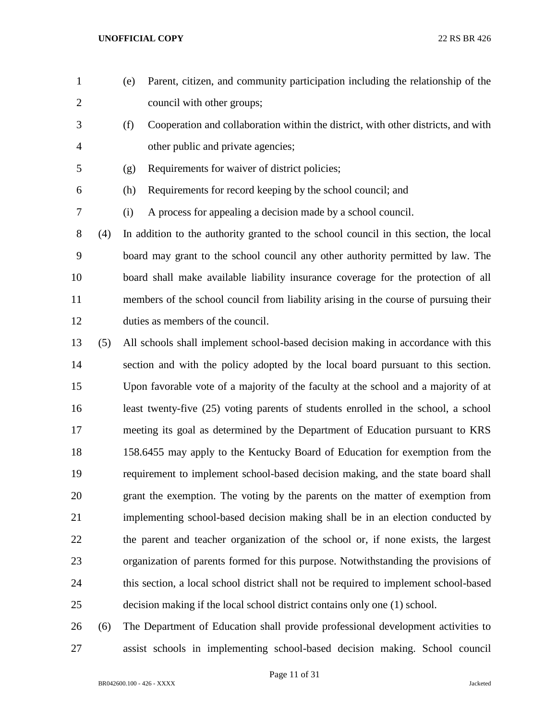- (e) Parent, citizen, and community participation including the relationship of the council with other groups;
- (f) Cooperation and collaboration within the district, with other districts, and with other public and private agencies;
- (g) Requirements for waiver of district policies;
- (h) Requirements for record keeping by the school council; and
- (i) A process for appealing a decision made by a school council.

 (4) In addition to the authority granted to the school council in this section, the local board may grant to the school council any other authority permitted by law. The board shall make available liability insurance coverage for the protection of all members of the school council from liability arising in the course of pursuing their duties as members of the council.

 (5) All schools shall implement school-based decision making in accordance with this section and with the policy adopted by the local board pursuant to this section. Upon favorable vote of a majority of the faculty at the school and a majority of at least twenty-five (25) voting parents of students enrolled in the school, a school meeting its goal as determined by the Department of Education pursuant to KRS 158.6455 may apply to the Kentucky Board of Education for exemption from the requirement to implement school-based decision making, and the state board shall grant the exemption. The voting by the parents on the matter of exemption from implementing school-based decision making shall be in an election conducted by the parent and teacher organization of the school or, if none exists, the largest organization of parents formed for this purpose. Notwithstanding the provisions of this section, a local school district shall not be required to implement school-based decision making if the local school district contains only one (1) school.

 (6) The Department of Education shall provide professional development activities to assist schools in implementing school-based decision making. School council

Page 11 of 31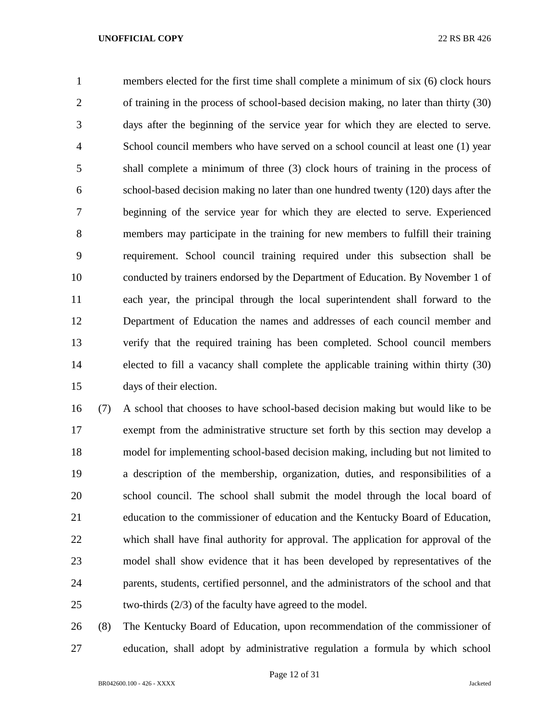members elected for the first time shall complete a minimum of six (6) clock hours of training in the process of school-based decision making, no later than thirty (30) days after the beginning of the service year for which they are elected to serve. School council members who have served on a school council at least one (1) year shall complete a minimum of three (3) clock hours of training in the process of school-based decision making no later than one hundred twenty (120) days after the beginning of the service year for which they are elected to serve. Experienced members may participate in the training for new members to fulfill their training requirement. School council training required under this subsection shall be conducted by trainers endorsed by the Department of Education. By November 1 of each year, the principal through the local superintendent shall forward to the Department of Education the names and addresses of each council member and verify that the required training has been completed. School council members elected to fill a vacancy shall complete the applicable training within thirty (30) days of their election.

 (7) A school that chooses to have school-based decision making but would like to be exempt from the administrative structure set forth by this section may develop a model for implementing school-based decision making, including but not limited to a description of the membership, organization, duties, and responsibilities of a school council. The school shall submit the model through the local board of education to the commissioner of education and the Kentucky Board of Education, which shall have final authority for approval. The application for approval of the model shall show evidence that it has been developed by representatives of the parents, students, certified personnel, and the administrators of the school and that two-thirds (2/3) of the faculty have agreed to the model.

 (8) The Kentucky Board of Education, upon recommendation of the commissioner of education, shall adopt by administrative regulation a formula by which school

Page 12 of 31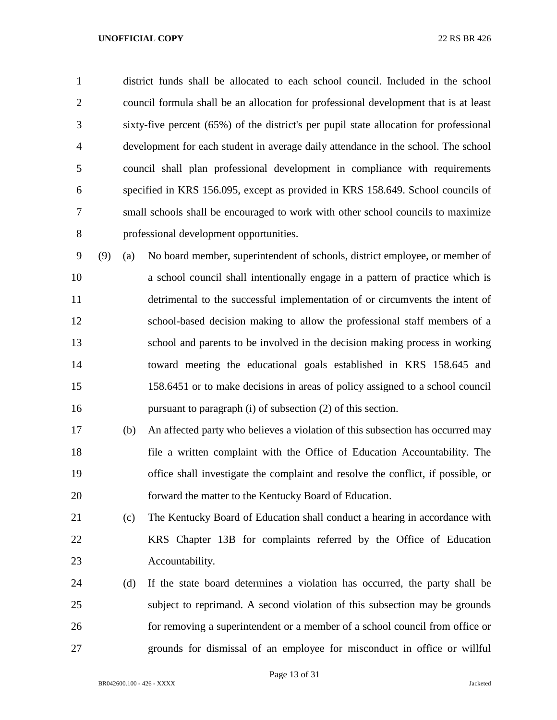district funds shall be allocated to each school council. Included in the school council formula shall be an allocation for professional development that is at least sixty-five percent (65%) of the district's per pupil state allocation for professional development for each student in average daily attendance in the school. The school council shall plan professional development in compliance with requirements specified in KRS 156.095, except as provided in KRS 158.649. School councils of small schools shall be encouraged to work with other school councils to maximize professional development opportunities.

 (9) (a) No board member, superintendent of schools, district employee, or member of a school council shall intentionally engage in a pattern of practice which is detrimental to the successful implementation of or circumvents the intent of school-based decision making to allow the professional staff members of a school and parents to be involved in the decision making process in working toward meeting the educational goals established in KRS 158.645 and 158.6451 or to make decisions in areas of policy assigned to a school council pursuant to paragraph (i) of subsection (2) of this section.

- (b) An affected party who believes a violation of this subsection has occurred may file a written complaint with the Office of Education Accountability. The office shall investigate the complaint and resolve the conflict, if possible, or forward the matter to the Kentucky Board of Education.
- (c) The Kentucky Board of Education shall conduct a hearing in accordance with KRS Chapter 13B for complaints referred by the Office of Education Accountability.
- (d) If the state board determines a violation has occurred, the party shall be subject to reprimand. A second violation of this subsection may be grounds for removing a superintendent or a member of a school council from office or grounds for dismissal of an employee for misconduct in office or willful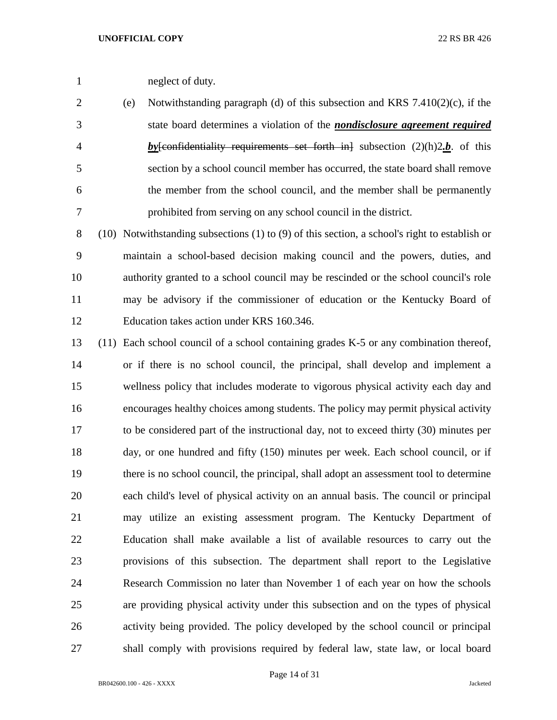- neglect of duty.
- (e) Notwithstanding paragraph (d) of this subsection and KRS 7.410(2)(c), if the state board determines a violation of the *nondisclosure agreement required by*[confidentiality requirements set forth in] subsection (2)(h)2*.b*. of this section by a school council member has occurred, the state board shall remove the member from the school council, and the member shall be permanently prohibited from serving on any school council in the district.
- (10) Notwithstanding subsections (1) to (9) of this section, a school's right to establish or maintain a school-based decision making council and the powers, duties, and authority granted to a school council may be rescinded or the school council's role may be advisory if the commissioner of education or the Kentucky Board of Education takes action under KRS 160.346.
- (11) Each school council of a school containing grades K-5 or any combination thereof, or if there is no school council, the principal, shall develop and implement a wellness policy that includes moderate to vigorous physical activity each day and encourages healthy choices among students. The policy may permit physical activity to be considered part of the instructional day, not to exceed thirty (30) minutes per day, or one hundred and fifty (150) minutes per week. Each school council, or if there is no school council, the principal, shall adopt an assessment tool to determine each child's level of physical activity on an annual basis. The council or principal may utilize an existing assessment program. The Kentucky Department of Education shall make available a list of available resources to carry out the provisions of this subsection. The department shall report to the Legislative Research Commission no later than November 1 of each year on how the schools are providing physical activity under this subsection and on the types of physical activity being provided. The policy developed by the school council or principal shall comply with provisions required by federal law, state law, or local board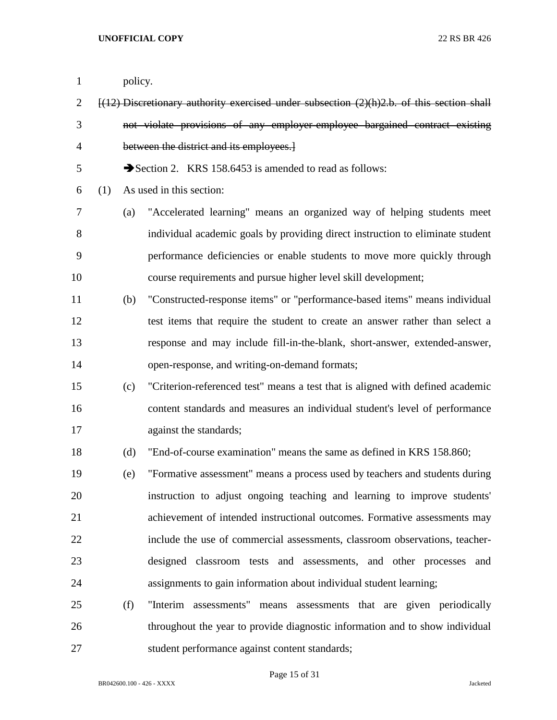- policy. [(12) Discretionary authority exercised under subsection (2)(h)2.b. of this section shall not violate provisions of any employer-employee bargained contract existing between the district and its employees.] 5 Section 2. KRS 158.6453 is amended to read as follows: (1) As used in this section: (a) "Accelerated learning" means an organized way of helping students meet individual academic goals by providing direct instruction to eliminate student performance deficiencies or enable students to move more quickly through course requirements and pursue higher level skill development; (b) "Constructed-response items" or "performance-based items" means individual test items that require the student to create an answer rather than select a response and may include fill-in-the-blank, short-answer, extended-answer, open-response, and writing-on-demand formats; (c) "Criterion-referenced test" means a test that is aligned with defined academic content standards and measures an individual student's level of performance 17 against the standards; (d) "End-of-course examination" means the same as defined in KRS 158.860; (e) "Formative assessment" means a process used by teachers and students during instruction to adjust ongoing teaching and learning to improve students' achievement of intended instructional outcomes. Formative assessments may include the use of commercial assessments, classroom observations, teacher- designed classroom tests and assessments, and other processes and assignments to gain information about individual student learning; (f) "Interim assessments" means assessments that are given periodically
- throughout the year to provide diagnostic information and to show individual student performance against content standards;

Page 15 of 31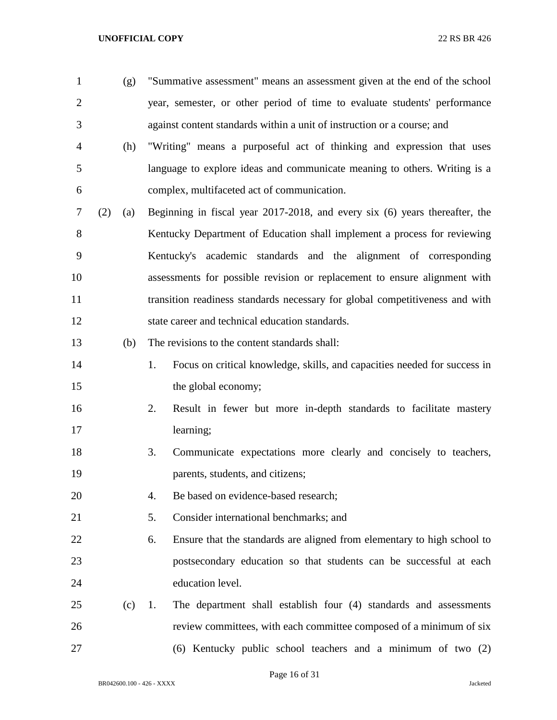(g) "Summative assessment" means an assessment given at the end of the school year, semester, or other period of time to evaluate students' performance against content standards within a unit of instruction or a course; and

- (h) "Writing" means a purposeful act of thinking and expression that uses language to explore ideas and communicate meaning to others. Writing is a complex, multifaceted act of communication.
- (2) (a) Beginning in fiscal year 2017-2018, and every six (6) years thereafter, the Kentucky Department of Education shall implement a process for reviewing Kentucky's academic standards and the alignment of corresponding assessments for possible revision or replacement to ensure alignment with transition readiness standards necessary for global competitiveness and with state career and technical education standards.
- (b) The revisions to the content standards shall:
- 14 1. Focus on critical knowledge, skills, and capacities needed for success in 15 the global economy;
- 2. Result in fewer but more in-depth standards to facilitate mastery learning;
- 3. Communicate expectations more clearly and concisely to teachers, parents, students, and citizens;
- 4. Be based on evidence-based research;
- 5. Consider international benchmarks; and
- 6. Ensure that the standards are aligned from elementary to high school to postsecondary education so that students can be successful at each education level.
- (c) 1. The department shall establish four (4) standards and assessments review committees, with each committee composed of a minimum of six
- (6) Kentucky public school teachers and a minimum of two (2)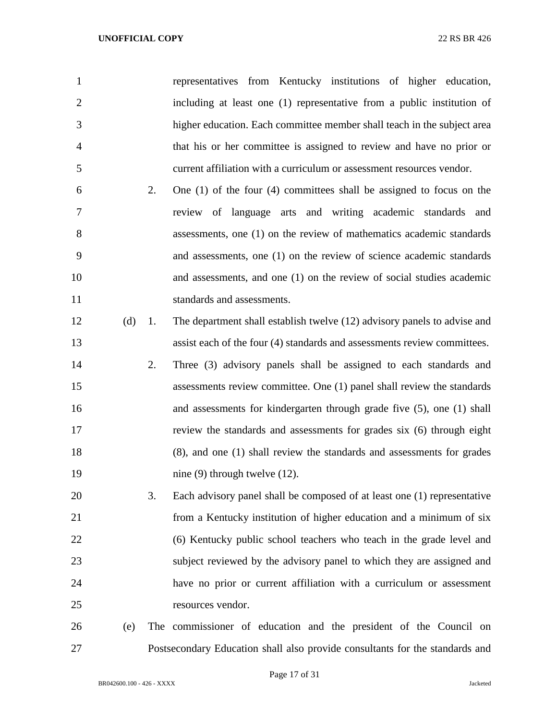| $\mathbf{1}$   |     |    | representatives from Kentucky institutions of higher education,              |
|----------------|-----|----|------------------------------------------------------------------------------|
| $\overline{2}$ |     |    | including at least one (1) representative from a public institution of       |
| 3              |     |    | higher education. Each committee member shall teach in the subject area      |
| $\overline{4}$ |     |    | that his or her committee is assigned to review and have no prior or         |
| 5              |     |    | current affiliation with a curriculum or assessment resources vendor.        |
| 6              |     | 2. | One $(1)$ of the four $(4)$ committees shall be assigned to focus on the     |
| 7              |     |    | review of language arts and writing academic standards and                   |
| 8              |     |    | assessments, one (1) on the review of mathematics academic standards         |
| 9              |     |    | and assessments, one (1) on the review of science academic standards         |
| 10             |     |    | and assessments, and one (1) on the review of social studies academic        |
| 11             |     |    | standards and assessments.                                                   |
| 12             | (d) | 1. | The department shall establish twelve (12) advisory panels to advise and     |
| 13             |     |    | assist each of the four (4) standards and assessments review committees.     |
| 14             |     | 2. | Three (3) advisory panels shall be assigned to each standards and            |
| 15             |     |    | assessments review committee. One (1) panel shall review the standards       |
| 16             |     |    | and assessments for kindergarten through grade five (5), one (1) shall       |
| 17             |     |    | review the standards and assessments for grades six (6) through eight        |
| 18             |     |    | (8), and one (1) shall review the standards and assessments for grades       |
| 19             |     |    | nine $(9)$ through twelve $(12)$ .                                           |
| 20             |     | 3. | Each advisory panel shall be composed of at least one (1) representative     |
| 21             |     |    | from a Kentucky institution of higher education and a minimum of six         |
| 22             |     |    | (6) Kentucky public school teachers who teach in the grade level and         |
| 23             |     |    | subject reviewed by the advisory panel to which they are assigned and        |
| 24             |     |    | have no prior or current affiliation with a curriculum or assessment         |
| 25             |     |    | resources vendor.                                                            |
| 26             | (e) |    | The commissioner of education and the president of the Council on            |
| 27             |     |    | Postsecondary Education shall also provide consultants for the standards and |

BR042600.100 - 426 - XXXX Jacketed

Page 17 of 31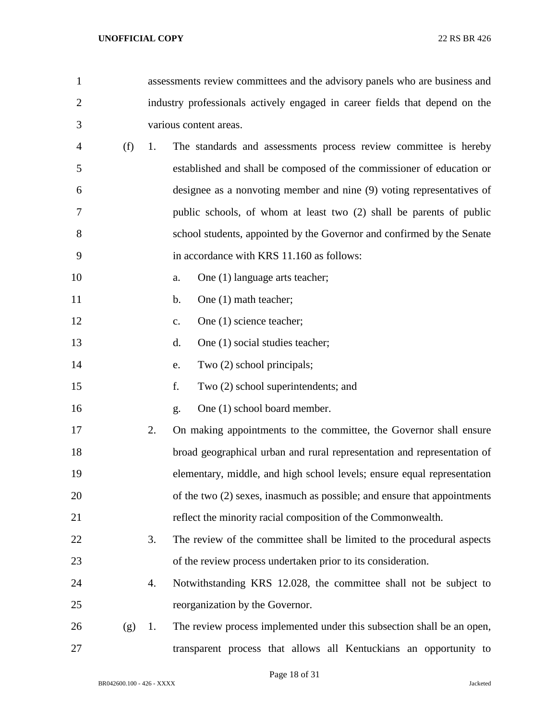| $\mathbf{1}$   |     |    | assessments review committees and the advisory panels who are business and  |
|----------------|-----|----|-----------------------------------------------------------------------------|
| $\overline{2}$ |     |    | industry professionals actively engaged in career fields that depend on the |
| 3              |     |    | various content areas.                                                      |
| 4              | (f) | 1. | The standards and assessments process review committee is hereby            |
| 5              |     |    | established and shall be composed of the commissioner of education or       |
| 6              |     |    | designee as a nonvoting member and nine (9) voting representatives of       |
| 7              |     |    | public schools, of whom at least two (2) shall be parents of public         |
| 8              |     |    | school students, appointed by the Governor and confirmed by the Senate      |
| 9              |     |    | in accordance with KRS 11.160 as follows:                                   |
| 10             |     |    | One (1) language arts teacher;<br>a.                                        |
| 11             |     |    | One (1) math teacher;<br>$\mathbf b$ .                                      |
| 12             |     |    | One (1) science teacher;<br>$\mathbf{c}$ .                                  |
| 13             |     |    | One (1) social studies teacher;<br>d.                                       |
| 14             |     |    | Two (2) school principals;<br>e.                                            |
| 15             |     |    | Two (2) school superintendents; and<br>f.                                   |
| 16             |     |    | One (1) school board member.<br>g.                                          |
| 17             |     | 2. | On making appointments to the committee, the Governor shall ensure          |
| 18             |     |    | broad geographical urban and rural representation and representation of     |
| 19             |     |    | elementary, middle, and high school levels; ensure equal representation     |
| 20             |     |    | of the two (2) sexes, inasmuch as possible; and ensure that appointments    |
| 21             |     |    | reflect the minority racial composition of the Commonwealth.                |
| 22             |     | 3. | The review of the committee shall be limited to the procedural aspects      |
| 23             |     |    | of the review process undertaken prior to its consideration.                |
| 24             |     | 4. | Notwithstanding KRS 12.028, the committee shall not be subject to           |
| 25             |     |    | reorganization by the Governor.                                             |
| 26             | (g) | 1. | The review process implemented under this subsection shall be an open,      |
| 27             |     |    | transparent process that allows all Kentuckians an opportunity to           |

Page 18 of 31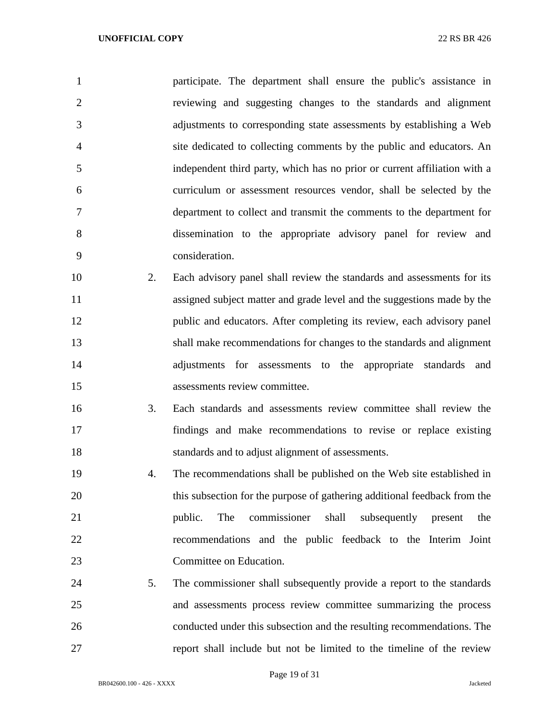participate. The department shall ensure the public's assistance in reviewing and suggesting changes to the standards and alignment adjustments to corresponding state assessments by establishing a Web site dedicated to collecting comments by the public and educators. An independent third party, which has no prior or current affiliation with a curriculum or assessment resources vendor, shall be selected by the department to collect and transmit the comments to the department for dissemination to the appropriate advisory panel for review and consideration. 2. Each advisory panel shall review the standards and assessments for its

- assigned subject matter and grade level and the suggestions made by the public and educators. After completing its review, each advisory panel shall make recommendations for changes to the standards and alignment adjustments for assessments to the appropriate standards and assessments review committee.
- 3. Each standards and assessments review committee shall review the findings and make recommendations to revise or replace existing standards and to adjust alignment of assessments.
- 4. The recommendations shall be published on the Web site established in this subsection for the purpose of gathering additional feedback from the public. The commissioner shall subsequently present the recommendations and the public feedback to the Interim Joint Committee on Education.
- 5. The commissioner shall subsequently provide a report to the standards and assessments process review committee summarizing the process conducted under this subsection and the resulting recommendations. The report shall include but not be limited to the timeline of the review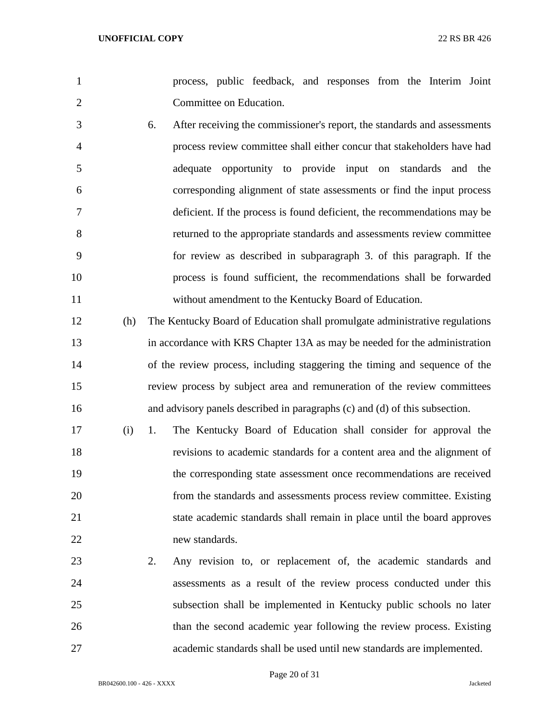- process, public feedback, and responses from the Interim Joint Committee on Education.
- 6. After receiving the commissioner's report, the standards and assessments process review committee shall either concur that stakeholders have had adequate opportunity to provide input on standards and the corresponding alignment of state assessments or find the input process deficient. If the process is found deficient, the recommendations may be returned to the appropriate standards and assessments review committee for review as described in subparagraph 3. of this paragraph. If the process is found sufficient, the recommendations shall be forwarded without amendment to the Kentucky Board of Education.
- (h) The Kentucky Board of Education shall promulgate administrative regulations in accordance with KRS Chapter 13A as may be needed for the administration of the review process, including staggering the timing and sequence of the review process by subject area and remuneration of the review committees and advisory panels described in paragraphs (c) and (d) of this subsection.
- (i) 1. The Kentucky Board of Education shall consider for approval the revisions to academic standards for a content area and the alignment of the corresponding state assessment once recommendations are received from the standards and assessments process review committee. Existing state academic standards shall remain in place until the board approves new standards.
- 2. Any revision to, or replacement of, the academic standards and assessments as a result of the review process conducted under this subsection shall be implemented in Kentucky public schools no later than the second academic year following the review process. Existing academic standards shall be used until new standards are implemented.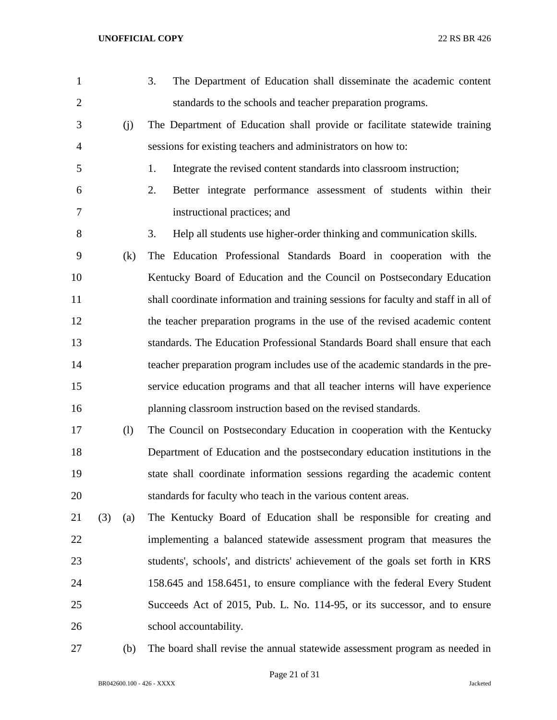| $\mathbf{1}$   |            | 3.<br>The Department of Education shall disseminate the academic content           |
|----------------|------------|------------------------------------------------------------------------------------|
| $\overline{2}$ |            | standards to the schools and teacher preparation programs.                         |
| 3              | (j)        | The Department of Education shall provide or facilitate statewide training         |
| $\overline{4}$ |            | sessions for existing teachers and administrators on how to:                       |
| 5              |            | Integrate the revised content standards into classroom instruction;<br>1.          |
| 6              |            | Better integrate performance assessment of students within their<br>2.             |
| 7              |            | instructional practices; and                                                       |
| 8              |            | 3.<br>Help all students use higher-order thinking and communication skills.        |
| 9              | (k)        | The Education Professional Standards Board in cooperation with the                 |
| 10             |            | Kentucky Board of Education and the Council on Postsecondary Education             |
| 11             |            | shall coordinate information and training sessions for faculty and staff in all of |
| 12             |            | the teacher preparation programs in the use of the revised academic content        |
| 13             |            | standards. The Education Professional Standards Board shall ensure that each       |
| 14             |            | teacher preparation program includes use of the academic standards in the pre-     |
| 15             |            | service education programs and that all teacher interns will have experience       |
| 16             |            | planning classroom instruction based on the revised standards.                     |
| 17             | (1)        | The Council on Postsecondary Education in cooperation with the Kentucky            |
| 18             |            | Department of Education and the postsecondary education institutions in the        |
| 19             |            | state shall coordinate information sessions regarding the academic content         |
| 20             |            | standards for faculty who teach in the various content areas.                      |
| 21             | (3)<br>(a) | The Kentucky Board of Education shall be responsible for creating and              |
| 22             |            | implementing a balanced statewide assessment program that measures the             |
| 23             |            | students', schools', and districts' achievement of the goals set forth in KRS      |
| 24             |            | 158.645 and 158.6451, to ensure compliance with the federal Every Student          |
| 25             |            | Succeeds Act of 2015, Pub. L. No. 114-95, or its successor, and to ensure          |
| 26             |            | school accountability.                                                             |
|                |            |                                                                                    |

(b) The board shall revise the annual statewide assessment program as needed in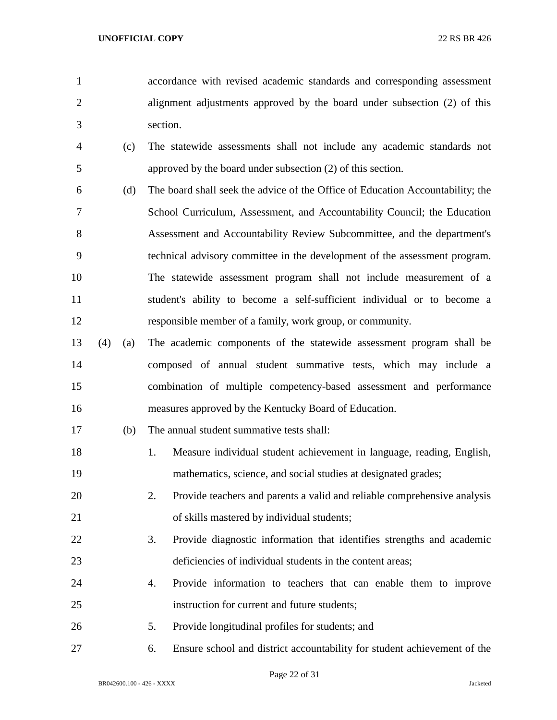accordance with revised academic standards and corresponding assessment alignment adjustments approved by the board under subsection (2) of this section.

- (c) The statewide assessments shall not include any academic standards not approved by the board under subsection (2) of this section.
- (d) The board shall seek the advice of the Office of Education Accountability; the School Curriculum, Assessment, and Accountability Council; the Education Assessment and Accountability Review Subcommittee, and the department's technical advisory committee in the development of the assessment program. The statewide assessment program shall not include measurement of a student's ability to become a self-sufficient individual or to become a responsible member of a family, work group, or community.
- (4) (a) The academic components of the statewide assessment program shall be composed of annual student summative tests, which may include a combination of multiple competency-based assessment and performance measures approved by the Kentucky Board of Education.
- (b) The annual student summative tests shall:
- 1. Measure individual student achievement in language, reading, English, mathematics, science, and social studies at designated grades;
- 2. Provide teachers and parents a valid and reliable comprehensive analysis of skills mastered by individual students;
- 3. Provide diagnostic information that identifies strengths and academic deficiencies of individual students in the content areas;
- 4. Provide information to teachers that can enable them to improve instruction for current and future students;
- 5. Provide longitudinal profiles for students; and
- 6. Ensure school and district accountability for student achievement of the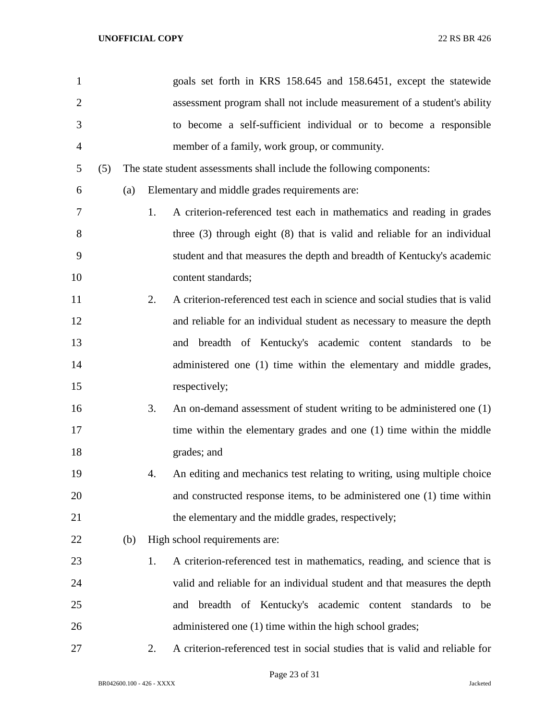| $\mathbf{1}$   |     |     |    | goals set forth in KRS 158.645 and 158.6451, except the statewide            |
|----------------|-----|-----|----|------------------------------------------------------------------------------|
| $\overline{2}$ |     |     |    | assessment program shall not include measurement of a student's ability      |
| 3              |     |     |    | to become a self-sufficient individual or to become a responsible            |
| 4              |     |     |    | member of a family, work group, or community.                                |
| 5              | (5) |     |    | The state student assessments shall include the following components:        |
| 6              |     | (a) |    | Elementary and middle grades requirements are:                               |
| 7              |     |     | 1. | A criterion-referenced test each in mathematics and reading in grades        |
| 8              |     |     |    | three $(3)$ through eight $(8)$ that is valid and reliable for an individual |
| 9              |     |     |    | student and that measures the depth and breadth of Kentucky's academic       |
| 10             |     |     |    | content standards;                                                           |
| 11             |     |     | 2. | A criterion-referenced test each in science and social studies that is valid |
| 12             |     |     |    | and reliable for an individual student as necessary to measure the depth     |
| 13             |     |     |    | and breadth of Kentucky's academic content standards to be                   |
| 14             |     |     |    | administered one (1) time within the elementary and middle grades,           |
| 15             |     |     |    | respectively;                                                                |
| 16             |     |     | 3. | An on-demand assessment of student writing to be administered one (1)        |
| 17             |     |     |    | time within the elementary grades and one (1) time within the middle         |
| 18             |     |     |    | grades; and                                                                  |
| 19             |     |     | 4. | An editing and mechanics test relating to writing, using multiple choice     |
| 20             |     |     |    | and constructed response items, to be administered one (1) time within       |
| 21             |     |     |    | the elementary and the middle grades, respectively;                          |
| 22             |     | (b) |    | High school requirements are:                                                |
| 23             |     |     | 1. | A criterion-referenced test in mathematics, reading, and science that is     |
| 24             |     |     |    | valid and reliable for an individual student and that measures the depth     |
| 25             |     |     |    | breadth of Kentucky's academic content standards to be<br>and                |
| 26             |     |     |    | administered one (1) time within the high school grades;                     |
| 27             |     |     | 2. | A criterion-referenced test in social studies that is valid and reliable for |

Page 23 of 31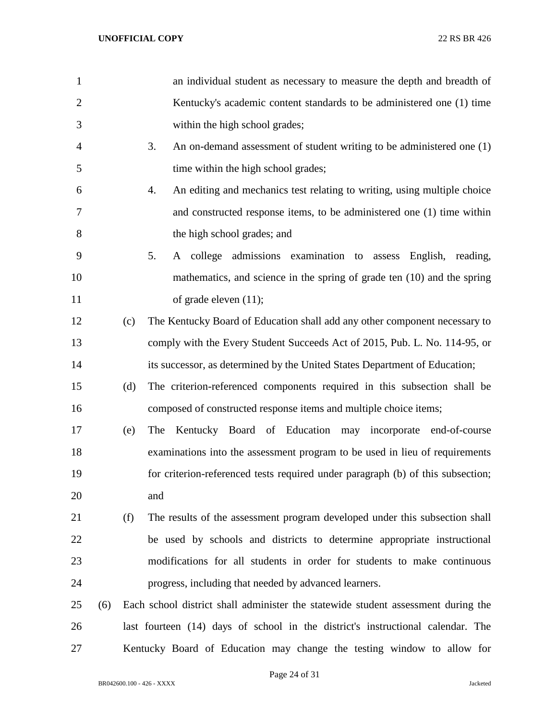| $\mathbf{1}$   |     |     | an individual student as necessary to measure the depth and breadth of            |
|----------------|-----|-----|-----------------------------------------------------------------------------------|
| $\overline{2}$ |     |     | Kentucky's academic content standards to be administered one (1) time             |
| 3              |     |     | within the high school grades;                                                    |
| 4              |     |     | 3.<br>An on-demand assessment of student writing to be administered one (1)       |
| 5              |     |     | time within the high school grades;                                               |
| 6              |     |     | 4.<br>An editing and mechanics test relating to writing, using multiple choice    |
| 7              |     |     | and constructed response items, to be administered one (1) time within            |
| 8              |     |     | the high school grades; and                                                       |
| 9              |     |     | 5.<br>A college admissions examination to assess English, reading,                |
| 10             |     |     | mathematics, and science in the spring of grade ten (10) and the spring           |
| 11             |     |     | of grade eleven $(11)$ ;                                                          |
| 12             |     | (c) | The Kentucky Board of Education shall add any other component necessary to        |
| 13             |     |     | comply with the Every Student Succeeds Act of 2015, Pub. L. No. 114-95, or        |
| 14             |     |     | its successor, as determined by the United States Department of Education;        |
| 15             |     | (d) | The criterion-referenced components required in this subsection shall be          |
| 16             |     |     | composed of constructed response items and multiple choice items;                 |
| 17             |     | (e) | Kentucky Board of Education may incorporate end-of-course<br>The                  |
| 18             |     |     | examinations into the assessment program to be used in lieu of requirements       |
| 19             |     |     | for criterion-referenced tests required under paragraph (b) of this subsection;   |
| 20             |     |     | and                                                                               |
| 21             |     | (f) | The results of the assessment program developed under this subsection shall       |
| 22             |     |     | be used by schools and districts to determine appropriate instructional           |
| 23             |     |     | modifications for all students in order for students to make continuous           |
| 24             |     |     | progress, including that needed by advanced learners.                             |
| 25             | (6) |     | Each school district shall administer the statewide student assessment during the |
| 26             |     |     | last fourteen (14) days of school in the district's instructional calendar. The   |
| 27             |     |     | Kentucky Board of Education may change the testing window to allow for            |

BR042600.100 - 426 - XXXX Jacketed

Page 24 of 31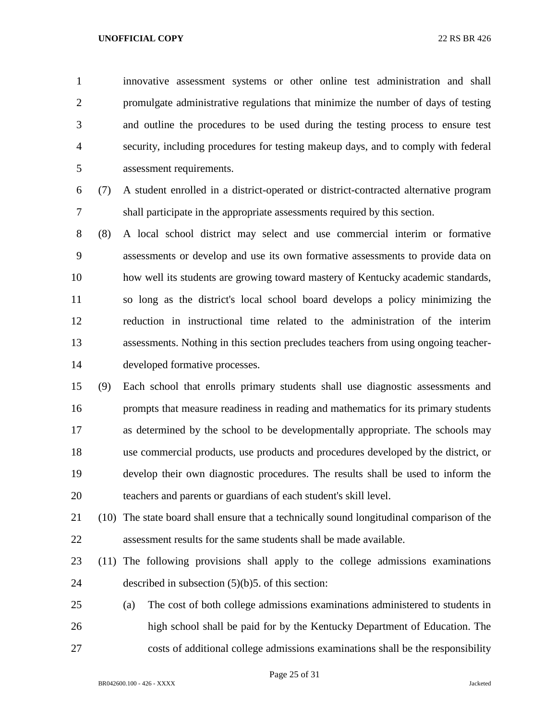innovative assessment systems or other online test administration and shall promulgate administrative regulations that minimize the number of days of testing and outline the procedures to be used during the testing process to ensure test security, including procedures for testing makeup days, and to comply with federal assessment requirements.

- (7) A student enrolled in a district-operated or district-contracted alternative program shall participate in the appropriate assessments required by this section.
- (8) A local school district may select and use commercial interim or formative assessments or develop and use its own formative assessments to provide data on how well its students are growing toward mastery of Kentucky academic standards, so long as the district's local school board develops a policy minimizing the reduction in instructional time related to the administration of the interim assessments. Nothing in this section precludes teachers from using ongoing teacher-developed formative processes.
- (9) Each school that enrolls primary students shall use diagnostic assessments and prompts that measure readiness in reading and mathematics for its primary students as determined by the school to be developmentally appropriate. The schools may use commercial products, use products and procedures developed by the district, or develop their own diagnostic procedures. The results shall be used to inform the teachers and parents or guardians of each student's skill level.
- (10) The state board shall ensure that a technically sound longitudinal comparison of the assessment results for the same students shall be made available.
- (11) The following provisions shall apply to the college admissions examinations described in subsection (5)(b)5. of this section:
- (a) The cost of both college admissions examinations administered to students in high school shall be paid for by the Kentucky Department of Education. The costs of additional college admissions examinations shall be the responsibility

Page 25 of 31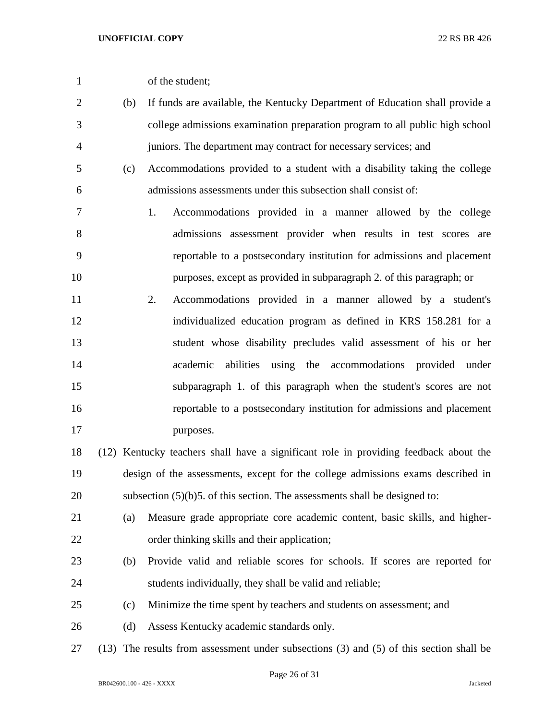| of the student; |
|-----------------|
|                 |

- (b) If funds are available, the Kentucky Department of Education shall provide a college admissions examination preparation program to all public high school juniors. The department may contract for necessary services; and
- (c) Accommodations provided to a student with a disability taking the college admissions assessments under this subsection shall consist of:
- 1. Accommodations provided in a manner allowed by the college admissions assessment provider when results in test scores are reportable to a postsecondary institution for admissions and placement purposes, except as provided in subparagraph 2. of this paragraph; or
- 2. Accommodations provided in a manner allowed by a student's individualized education program as defined in KRS 158.281 for a student whose disability precludes valid assessment of his or her academic abilities using the accommodations provided under subparagraph 1. of this paragraph when the student's scores are not reportable to a postsecondary institution for admissions and placement 17 purposes.
- (12) Kentucky teachers shall have a significant role in providing feedback about the design of the assessments, except for the college admissions exams described in 20 subsection  $(5)(b)5$ . of this section. The assessments shall be designed to:
- (a) Measure grade appropriate core academic content, basic skills, and higher-order thinking skills and their application;
- (b) Provide valid and reliable scores for schools. If scores are reported for students individually, they shall be valid and reliable;
- (c) Minimize the time spent by teachers and students on assessment; and
- (d) Assess Kentucky academic standards only.
- (13) The results from assessment under subsections (3) and (5) of this section shall be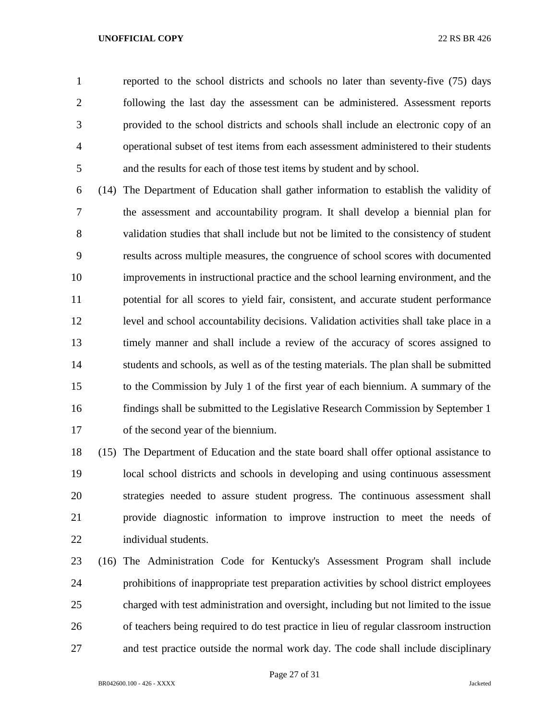reported to the school districts and schools no later than seventy-five (75) days following the last day the assessment can be administered. Assessment reports provided to the school districts and schools shall include an electronic copy of an operational subset of test items from each assessment administered to their students and the results for each of those test items by student and by school.

 (14) The Department of Education shall gather information to establish the validity of the assessment and accountability program. It shall develop a biennial plan for validation studies that shall include but not be limited to the consistency of student results across multiple measures, the congruence of school scores with documented improvements in instructional practice and the school learning environment, and the potential for all scores to yield fair, consistent, and accurate student performance level and school accountability decisions. Validation activities shall take place in a timely manner and shall include a review of the accuracy of scores assigned to students and schools, as well as of the testing materials. The plan shall be submitted to the Commission by July 1 of the first year of each biennium. A summary of the findings shall be submitted to the Legislative Research Commission by September 1 of the second year of the biennium.

 (15) The Department of Education and the state board shall offer optional assistance to local school districts and schools in developing and using continuous assessment strategies needed to assure student progress. The continuous assessment shall provide diagnostic information to improve instruction to meet the needs of individual students.

 (16) The Administration Code for Kentucky's Assessment Program shall include prohibitions of inappropriate test preparation activities by school district employees charged with test administration and oversight, including but not limited to the issue of teachers being required to do test practice in lieu of regular classroom instruction and test practice outside the normal work day. The code shall include disciplinary

Page 27 of 31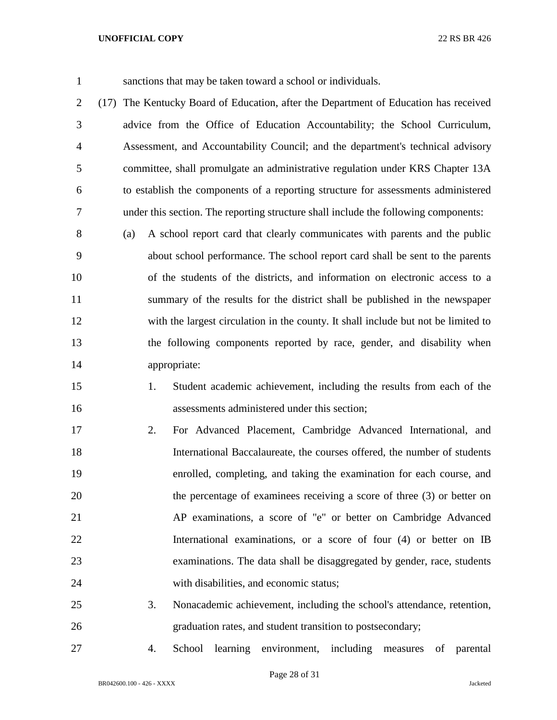sanctions that may be taken toward a school or individuals.

 (17) The Kentucky Board of Education, after the Department of Education has received advice from the Office of Education Accountability; the School Curriculum, Assessment, and Accountability Council; and the department's technical advisory committee, shall promulgate an administrative regulation under KRS Chapter 13A to establish the components of a reporting structure for assessments administered under this section. The reporting structure shall include the following components:

 (a) A school report card that clearly communicates with parents and the public about school performance. The school report card shall be sent to the parents of the students of the districts, and information on electronic access to a summary of the results for the district shall be published in the newspaper with the largest circulation in the county. It shall include but not be limited to the following components reported by race, gender, and disability when appropriate:

- 1. Student academic achievement, including the results from each of the assessments administered under this section;
- 2. For Advanced Placement, Cambridge Advanced International, and International Baccalaureate, the courses offered, the number of students enrolled, completing, and taking the examination for each course, and the percentage of examinees receiving a score of three (3) or better on AP examinations, a score of "e" or better on Cambridge Advanced International examinations, or a score of four (4) or better on IB examinations. The data shall be disaggregated by gender, race, students with disabilities, and economic status;
- 3. Nonacademic achievement, including the school's attendance, retention, graduation rates, and student transition to postsecondary;
- 

4. School learning environment, including measures of parental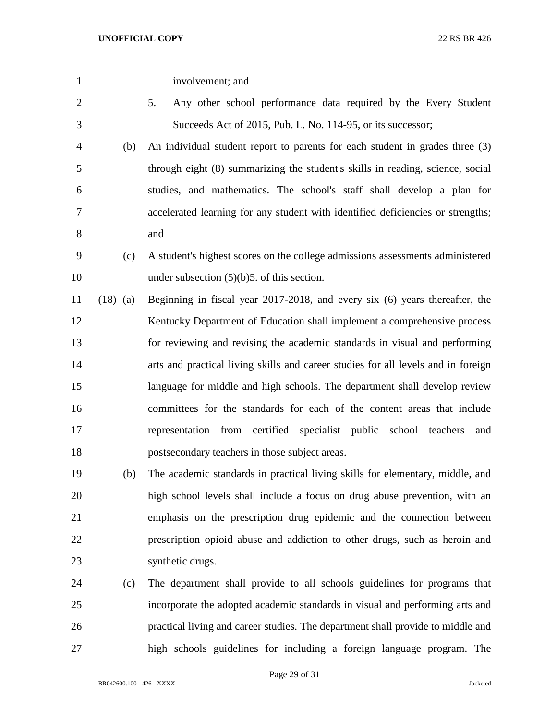| $\mathbf{1}$ |            | involvement; and                                                                  |
|--------------|------------|-----------------------------------------------------------------------------------|
| $\mathbf{2}$ |            | Any other school performance data required by the Every Student<br>5.             |
| 3            |            | Succeeds Act of 2015, Pub. L. No. 114-95, or its successor;                       |
| 4            | (b)        | An individual student report to parents for each student in grades three (3)      |
| 5            |            | through eight (8) summarizing the student's skills in reading, science, social    |
| 6            |            | studies, and mathematics. The school's staff shall develop a plan for             |
| 7            |            | accelerated learning for any student with identified deficiencies or strengths;   |
| 8            |            | and                                                                               |
| 9            | (c)        | A student's highest scores on the college admissions assessments administered     |
| 10           |            | under subsection $(5)(b)5$ . of this section.                                     |
| 11           | $(18)$ (a) | Beginning in fiscal year 2017-2018, and every six (6) years thereafter, the       |
| 12           |            | Kentucky Department of Education shall implement a comprehensive process          |
| 13           |            | for reviewing and revising the academic standards in visual and performing        |
| 14           |            | arts and practical living skills and career studies for all levels and in foreign |
| 15           |            | language for middle and high schools. The department shall develop review         |
| 16           |            | committees for the standards for each of the content areas that include           |
| 17           |            | representation from certified specialist public school teachers<br>and            |
| 18           |            | postsecondary teachers in those subject areas.                                    |
| 19           | (b)        | The academic standards in practical living skills for elementary, middle, and     |
| 20           |            | high school levels shall include a focus on drug abuse prevention, with an        |
| 21           |            | emphasis on the prescription drug epidemic and the connection between             |
| 22           |            | prescription opioid abuse and addiction to other drugs, such as heroin and        |
| 23           |            | synthetic drugs.                                                                  |
| 24           | (c)        | The department shall provide to all schools guidelines for programs that          |
| 25           |            | incorporate the adopted academic standards in visual and performing arts and      |
| 26           |            | practical living and career studies. The department shall provide to middle and   |
| 27           |            | high schools guidelines for including a foreign language program. The             |

Page 29 of 31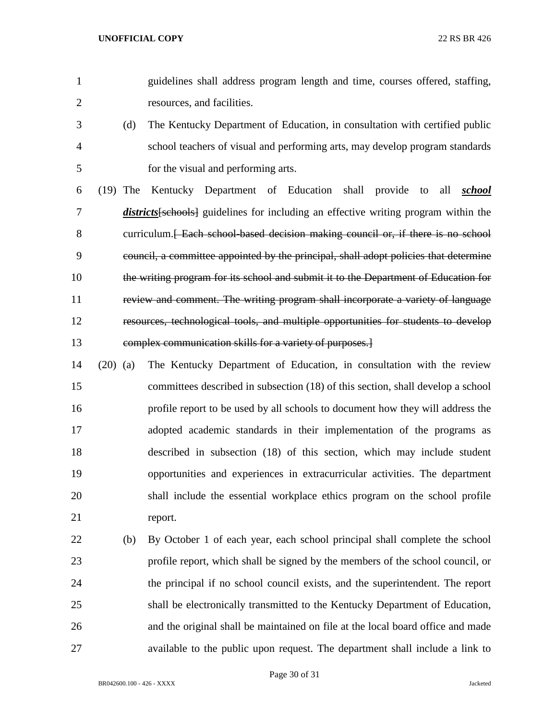- guidelines shall address program length and time, courses offered, staffing, resources, and facilities.
- (d) The Kentucky Department of Education, in consultation with certified public school teachers of visual and performing arts, may develop program standards for the visual and performing arts.
- (19) The Kentucky Department of Education shall provide to all *school districts*[schools] guidelines for including an effective writing program within the 8 curriculum. [ Each school-based decision making council or, if there is no school council, a committee appointed by the principal, shall adopt policies that determine the writing program for its school and submit it to the Department of Education for review and comment. The writing program shall incorporate a variety of language resources, technological tools, and multiple opportunities for students to develop complex communication skills for a variety of purposes.]
- (20) (a) The Kentucky Department of Education, in consultation with the review committees described in subsection (18) of this section, shall develop a school profile report to be used by all schools to document how they will address the adopted academic standards in their implementation of the programs as described in subsection (18) of this section, which may include student opportunities and experiences in extracurricular activities. The department shall include the essential workplace ethics program on the school profile report.
- (b) By October 1 of each year, each school principal shall complete the school profile report, which shall be signed by the members of the school council, or the principal if no school council exists, and the superintendent. The report shall be electronically transmitted to the Kentucky Department of Education, and the original shall be maintained on file at the local board office and made available to the public upon request. The department shall include a link to